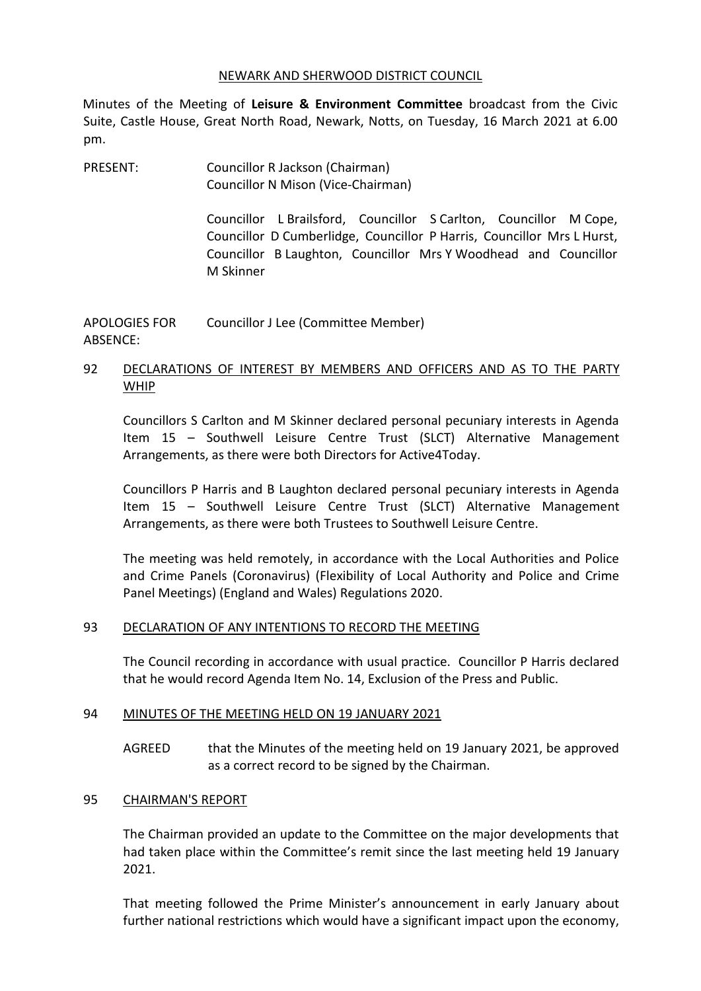#### NEWARK AND SHERWOOD DISTRICT COUNCIL

Minutes of the Meeting of **Leisure & Environment Committee** broadcast from the Civic Suite, Castle House, Great North Road, Newark, Notts, on Tuesday, 16 March 2021 at 6.00 pm.

PRESENT: Councillor R Jackson (Chairman) Councillor N Mison (Vice-Chairman)

> Councillor L Brailsford, Councillor S Carlton, Councillor M Cope, Councillor D Cumberlidge, Councillor P Harris, Councillor Mrs L Hurst, Councillor B Laughton, Councillor Mrs Y Woodhead and Councillor M Skinner

APOLOGIES FOR ABSENCE: Councillor J Lee (Committee Member)

## 92 DECLARATIONS OF INTEREST BY MEMBERS AND OFFICERS AND AS TO THE PARTY WHIP

Councillors S Carlton and M Skinner declared personal pecuniary interests in Agenda Item 15 – Southwell Leisure Centre Trust (SLCT) Alternative Management Arrangements, as there were both Directors for Active4Today.

Councillors P Harris and B Laughton declared personal pecuniary interests in Agenda Item 15 – Southwell Leisure Centre Trust (SLCT) Alternative Management Arrangements, as there were both Trustees to Southwell Leisure Centre.

The meeting was held remotely, in accordance with the Local Authorities and Police and Crime Panels (Coronavirus) (Flexibility of Local Authority and Police and Crime Panel Meetings) (England and Wales) Regulations 2020.

### 93 DECLARATION OF ANY INTENTIONS TO RECORD THE MEETING

The Council recording in accordance with usual practice. Councillor P Harris declared that he would record Agenda Item No. 14, Exclusion of the Press and Public.

### 94 MINUTES OF THE MEETING HELD ON 19 JANUARY 2021

AGREED that the Minutes of the meeting held on 19 January 2021, be approved as a correct record to be signed by the Chairman.

### 95 CHAIRMAN'S REPORT

The Chairman provided an update to the Committee on the major developments that had taken place within the Committee's remit since the last meeting held 19 January 2021.

That meeting followed the Prime Minister's announcement in early January about further national restrictions which would have a significant impact upon the economy,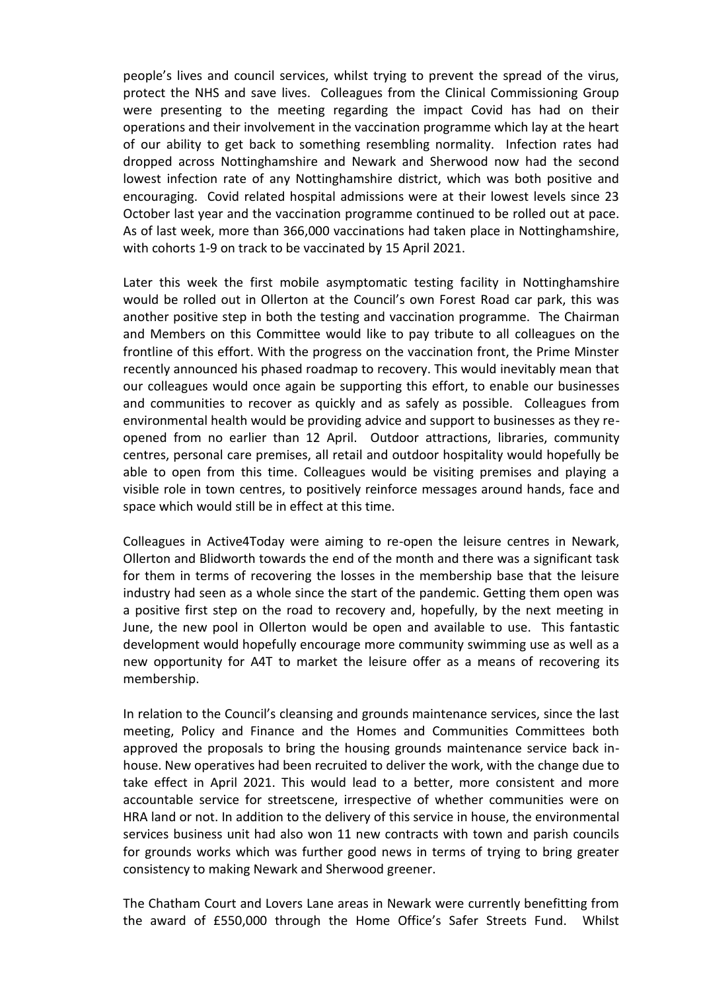people's lives and council services, whilst trying to prevent the spread of the virus, protect the NHS and save lives. Colleagues from the Clinical Commissioning Group were presenting to the meeting regarding the impact Covid has had on their operations and their involvement in the vaccination programme which lay at the heart of our ability to get back to something resembling normality. Infection rates had dropped across Nottinghamshire and Newark and Sherwood now had the second lowest infection rate of any Nottinghamshire district, which was both positive and encouraging. Covid related hospital admissions were at their lowest levels since 23 October last year and the vaccination programme continued to be rolled out at pace. As of last week, more than 366,000 vaccinations had taken place in Nottinghamshire, with cohorts 1-9 on track to be vaccinated by 15 April 2021.

Later this week the first mobile asymptomatic testing facility in Nottinghamshire would be rolled out in Ollerton at the Council's own Forest Road car park, this was another positive step in both the testing and vaccination programme. The Chairman and Members on this Committee would like to pay tribute to all colleagues on the frontline of this effort. With the progress on the vaccination front, the Prime Minster recently announced his phased roadmap to recovery. This would inevitably mean that our colleagues would once again be supporting this effort, to enable our businesses and communities to recover as quickly and as safely as possible. Colleagues from environmental health would be providing advice and support to businesses as they reopened from no earlier than 12 April. Outdoor attractions, libraries, community centres, personal care premises, all retail and outdoor hospitality would hopefully be able to open from this time. Colleagues would be visiting premises and playing a visible role in town centres, to positively reinforce messages around hands, face and space which would still be in effect at this time.

Colleagues in Active4Today were aiming to re-open the leisure centres in Newark, Ollerton and Blidworth towards the end of the month and there was a significant task for them in terms of recovering the losses in the membership base that the leisure industry had seen as a whole since the start of the pandemic. Getting them open was a positive first step on the road to recovery and, hopefully, by the next meeting in June, the new pool in Ollerton would be open and available to use. This fantastic development would hopefully encourage more community swimming use as well as a new opportunity for A4T to market the leisure offer as a means of recovering its membership.

In relation to the Council's cleansing and grounds maintenance services, since the last meeting, Policy and Finance and the Homes and Communities Committees both approved the proposals to bring the housing grounds maintenance service back inhouse. New operatives had been recruited to deliver the work, with the change due to take effect in April 2021. This would lead to a better, more consistent and more accountable service for streetscene, irrespective of whether communities were on HRA land or not. In addition to the delivery of this service in house, the environmental services business unit had also won 11 new contracts with town and parish councils for grounds works which was further good news in terms of trying to bring greater consistency to making Newark and Sherwood greener.

The Chatham Court and Lovers Lane areas in Newark were currently benefitting from the award of £550,000 through the Home Office's Safer Streets Fund. Whilst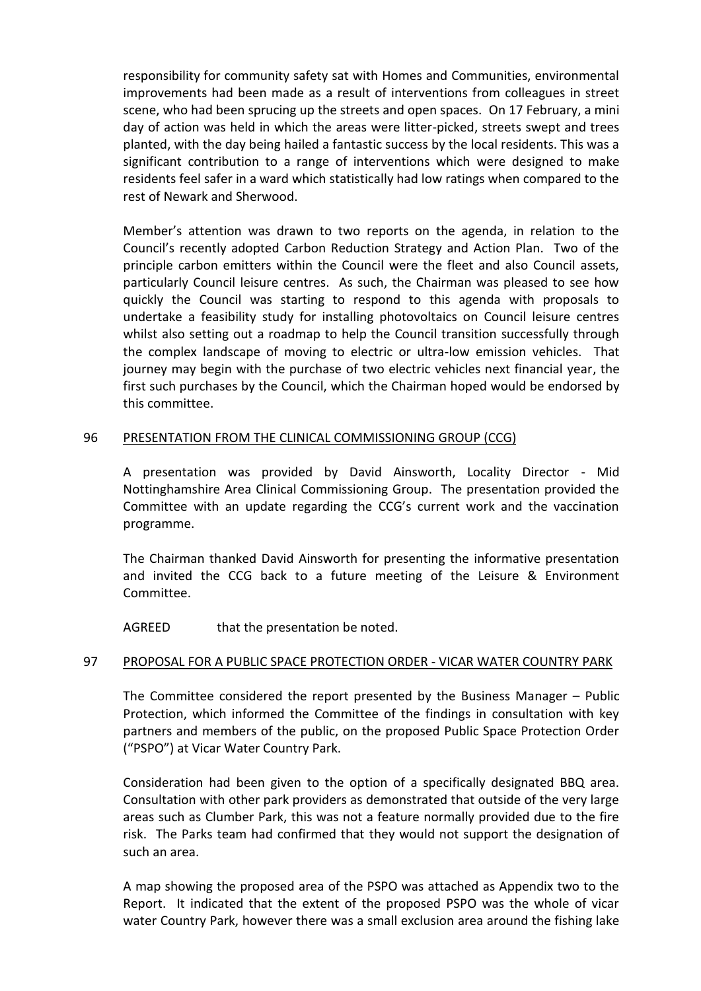responsibility for community safety sat with Homes and Communities, environmental improvements had been made as a result of interventions from colleagues in street scene, who had been sprucing up the streets and open spaces. On 17 February, a mini day of action was held in which the areas were litter-picked, streets swept and trees planted, with the day being hailed a fantastic success by the local residents. This was a significant contribution to a range of interventions which were designed to make residents feel safer in a ward which statistically had low ratings when compared to the rest of Newark and Sherwood.

Member's attention was drawn to two reports on the agenda, in relation to the Council's recently adopted Carbon Reduction Strategy and Action Plan. Two of the principle carbon emitters within the Council were the fleet and also Council assets, particularly Council leisure centres. As such, the Chairman was pleased to see how quickly the Council was starting to respond to this agenda with proposals to undertake a feasibility study for installing photovoltaics on Council leisure centres whilst also setting out a roadmap to help the Council transition successfully through the complex landscape of moving to electric or ultra-low emission vehicles. That journey may begin with the purchase of two electric vehicles next financial year, the first such purchases by the Council, which the Chairman hoped would be endorsed by this committee.

### 96 PRESENTATION FROM THE CLINICAL COMMISSIONING GROUP (CCG)

A presentation was provided by David Ainsworth, Locality Director - Mid Nottinghamshire Area Clinical Commissioning Group. The presentation provided the Committee with an update regarding the CCG's current work and the vaccination programme.

The Chairman thanked David Ainsworth for presenting the informative presentation and invited the CCG back to a future meeting of the Leisure & Environment Committee.

AGREED that the presentation be noted.

### 97 PROPOSAL FOR A PUBLIC SPACE PROTECTION ORDER - VICAR WATER COUNTRY PARK

The Committee considered the report presented by the Business Manager – Public Protection, which informed the Committee of the findings in consultation with key partners and members of the public, on the proposed Public Space Protection Order ("PSPO") at Vicar Water Country Park.

Consideration had been given to the option of a specifically designated BBQ area. Consultation with other park providers as demonstrated that outside of the very large areas such as Clumber Park, this was not a feature normally provided due to the fire risk. The Parks team had confirmed that they would not support the designation of such an area.

A map showing the proposed area of the PSPO was attached as Appendix two to the Report. It indicated that the extent of the proposed PSPO was the whole of vicar water Country Park, however there was a small exclusion area around the fishing lake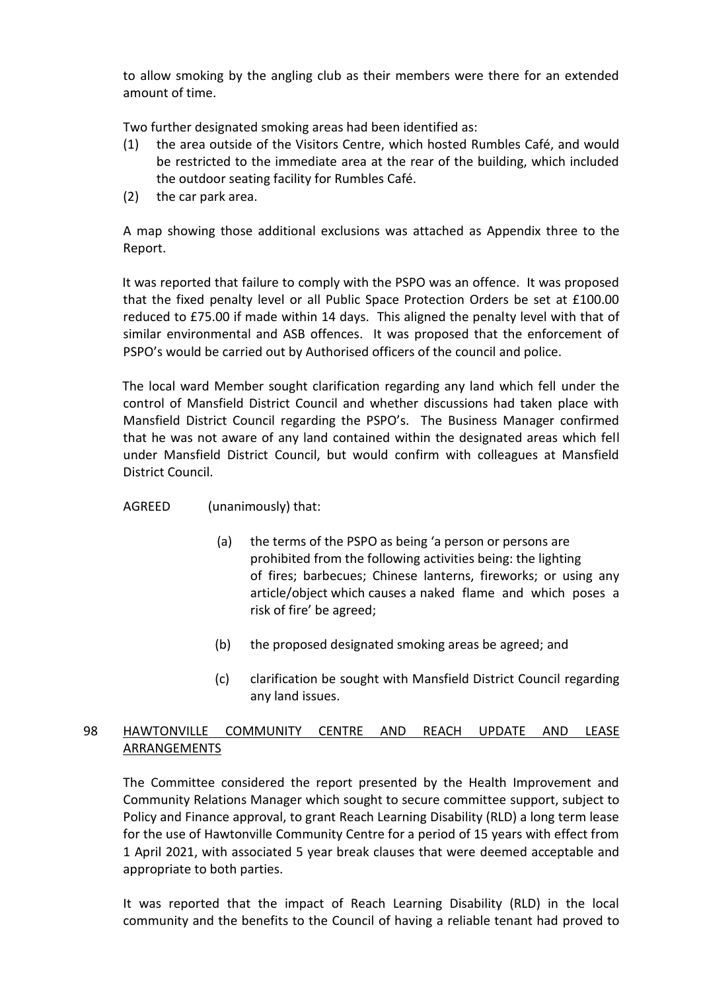to allow smoking by the angling club as their members were there for an extended amount of time.

Two further designated smoking areas had been identified as:

- (1) the area outside of the Visitors Centre, which hosted Rumbles Café, and would be restricted to the immediate area at the rear of the building, which included the outdoor seating facility for Rumbles Café.
- (2) the car park area.

A map showing those additional exclusions was attached as Appendix three to the Report.

It was reported that failure to comply with the PSPO was an offence. It was proposed that the fixed penalty level or all Public Space Protection Orders be set at £100.00 reduced to £75.00 if made within 14 days. This aligned the penalty level with that of similar environmental and ASB offences. It was proposed that the enforcement of PSPO's would be carried out by Authorised officers of the council and police.

The local ward Member sought clarification regarding any land which fell under the control of Mansfield District Council and whether discussions had taken place with Mansfield District Council regarding the PSPO's. The Business Manager confirmed that he was not aware of any land contained within the designated areas which fell under Mansfield District Council, but would confirm with colleagues at Mansfield District Council.

### AGREED (unanimously) that:

- (a) the terms of the PSPO as being 'a person or persons are prohibited from the following activities being: the lighting of fires; barbecues; Chinese lanterns, fireworks; or using any article/object which causes a naked flame and which poses a risk of fire' be agreed;
- (b) the proposed designated smoking areas be agreed; and
- (c) clarification be sought with Mansfield District Council regarding any land issues.

# 98 HAWTONVILLE COMMUNITY CENTRE AND REACH UPDATE AND LEASE **ARRANGEMENTS**

The Committee considered the report presented by the Health Improvement and Community Relations Manager which sought to secure committee support, subject to Policy and Finance approval, to grant Reach Learning Disability (RLD) a long term lease for the use of Hawtonville Community Centre for a period of 15 years with effect from 1 April 2021, with associated 5 year break clauses that were deemed acceptable and appropriate to both parties.

It was reported that the impact of Reach Learning Disability (RLD) in the local community and the benefits to the Council of having a reliable tenant had proved to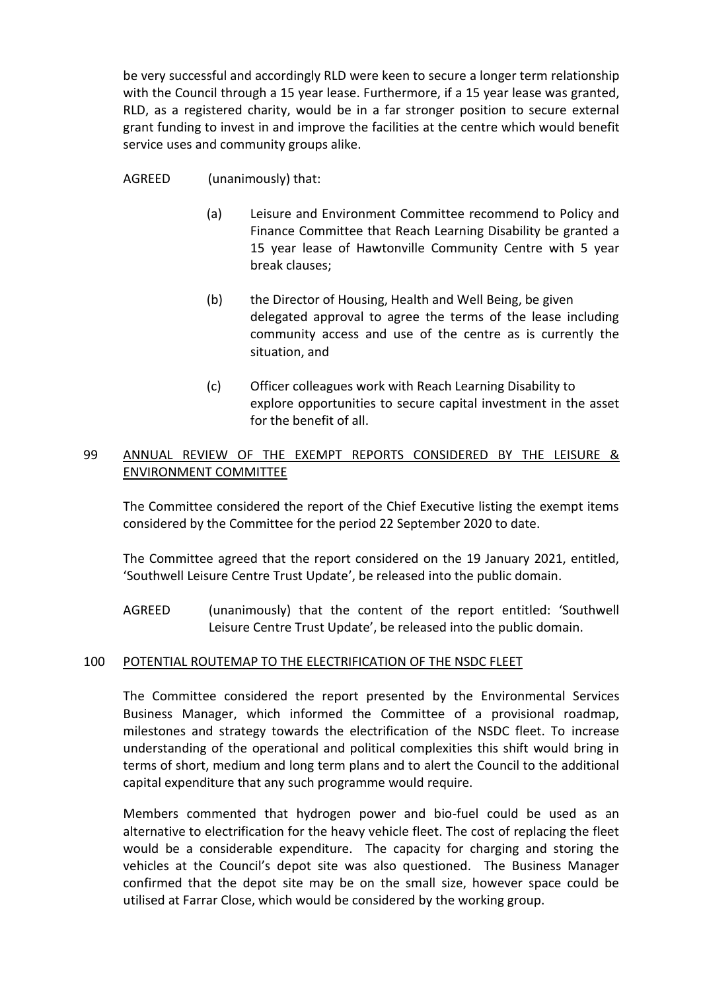be very successful and accordingly RLD were keen to secure a longer term relationship with the Council through a 15 year lease. Furthermore, if a 15 year lease was granted, RLD, as a registered charity, would be in a far stronger position to secure external grant funding to invest in and improve the facilities at the centre which would benefit service uses and community groups alike.

### AGREED (unanimously) that:

- (a) Leisure and Environment Committee recommend to Policy and Finance Committee that Reach Learning Disability be granted a 15 year lease of Hawtonville Community Centre with 5 year break clauses;
- (b) the Director of Housing, Health and Well Being, be given delegated approval to agree the terms of the lease including community access and use of the centre as is currently the situation, and
- (c) Officer colleagues work with Reach Learning Disability to explore opportunities to secure capital investment in the asset for the benefit of all.

## 99 ANNUAL REVIEW OF THE EXEMPT REPORTS CONSIDERED BY THE LEISURE & ENVIRONMENT COMMITTEE

The Committee considered the report of the Chief Executive listing the exempt items considered by the Committee for the period 22 September 2020 to date.

The Committee agreed that the report considered on the 19 January 2021, entitled, 'Southwell Leisure Centre Trust Update', be released into the public domain.

AGREED (unanimously) that the content of the report entitled: 'Southwell Leisure Centre Trust Update', be released into the public domain.

### 100 POTENTIAL ROUTEMAP TO THE ELECTRIFICATION OF THE NSDC FLEET

The Committee considered the report presented by the Environmental Services Business Manager, which informed the Committee of a provisional roadmap, milestones and strategy towards the electrification of the NSDC fleet. To increase understanding of the operational and political complexities this shift would bring in terms of short, medium and long term plans and to alert the Council to the additional capital expenditure that any such programme would require.

Members commented that hydrogen power and bio-fuel could be used as an alternative to electrification for the heavy vehicle fleet. The cost of replacing the fleet would be a considerable expenditure. The capacity for charging and storing the vehicles at the Council's depot site was also questioned. The Business Manager confirmed that the depot site may be on the small size, however space could be utilised at Farrar Close, which would be considered by the working group.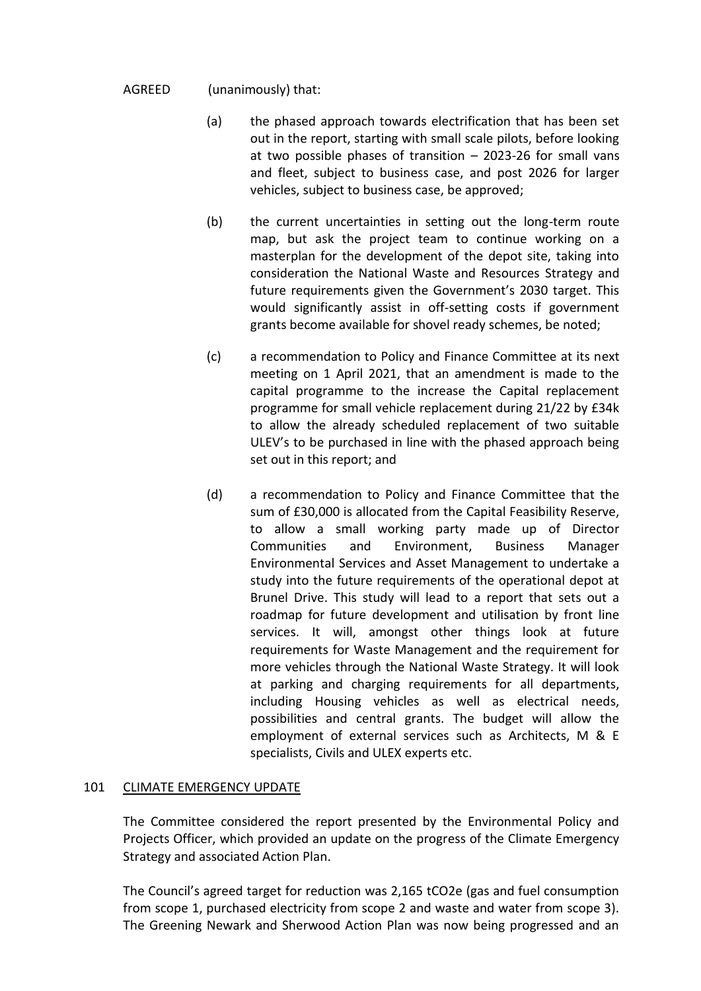### AGREED (unanimously) that:

- (a) the phased approach towards electrification that has been set out in the report, starting with small scale pilots, before looking at two possible phases of transition – 2023-26 for small vans and fleet, subject to business case, and post 2026 for larger vehicles, subject to business case, be approved;
- (b) the current uncertainties in setting out the long-term route map, but ask the project team to continue working on a masterplan for the development of the depot site, taking into consideration the National Waste and Resources Strategy and future requirements given the Government's 2030 target. This would significantly assist in off-setting costs if government grants become available for shovel ready schemes, be noted;
- (c) a recommendation to Policy and Finance Committee at its next meeting on 1 April 2021, that an amendment is made to the capital programme to the increase the Capital replacement programme for small vehicle replacement during 21/22 by £34k to allow the already scheduled replacement of two suitable ULEV's to be purchased in line with the phased approach being set out in this report; and
- (d) a recommendation to Policy and Finance Committee that the sum of £30,000 is allocated from the Capital Feasibility Reserve, to allow a small working party made up of Director Communities and Environment, Business Manager Environmental Services and Asset Management to undertake a study into the future requirements of the operational depot at Brunel Drive. This study will lead to a report that sets out a roadmap for future development and utilisation by front line services. It will, amongst other things look at future requirements for Waste Management and the requirement for more vehicles through the National Waste Strategy. It will look at parking and charging requirements for all departments, including Housing vehicles as well as electrical needs, possibilities and central grants. The budget will allow the employment of external services such as Architects, M & E specialists, Civils and ULEX experts etc.

### 101 CLIMATE EMERGENCY UPDATE

The Committee considered the report presented by the Environmental Policy and Projects Officer, which provided an update on the progress of the Climate Emergency Strategy and associated Action Plan.

The Council's agreed target for reduction was 2,165 tCO2e (gas and fuel consumption from scope 1, purchased electricity from scope 2 and waste and water from scope 3). The Greening Newark and Sherwood Action Plan was now being progressed and an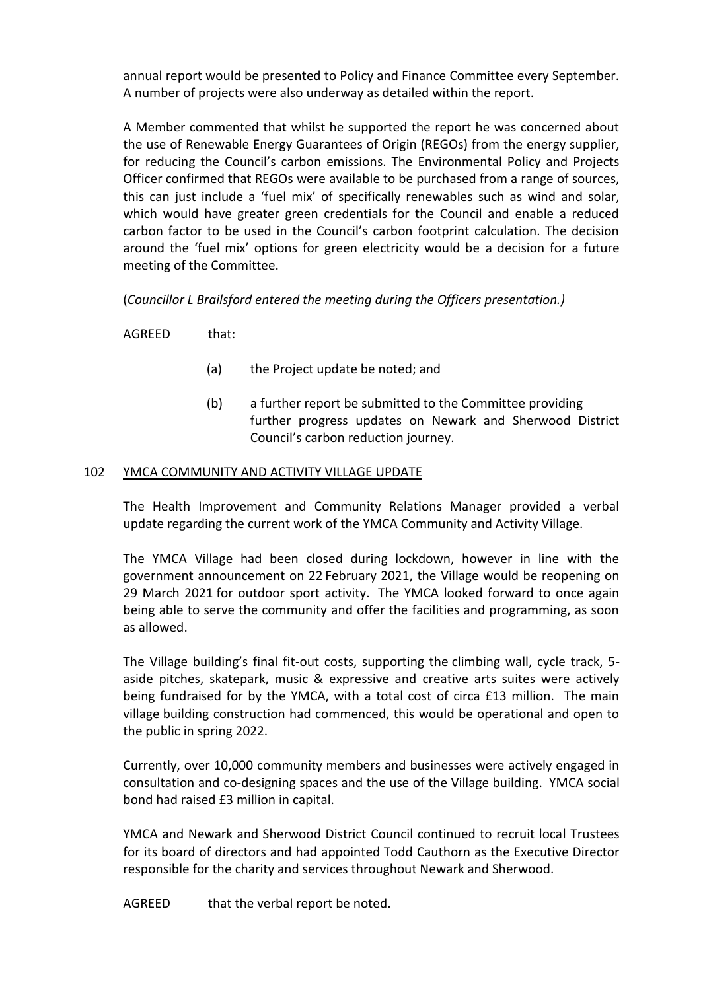annual report would be presented to Policy and Finance Committee every September. A number of projects were also underway as detailed within the report.

A Member commented that whilst he supported the report he was concerned about the use of Renewable Energy Guarantees of Origin (REGOs) from the energy supplier, for reducing the Council's carbon emissions. The Environmental Policy and Projects Officer confirmed that REGOs were available to be purchased from a range of sources, this can just include a 'fuel mix' of specifically renewables such as wind and solar, which would have greater green credentials for the Council and enable a reduced carbon factor to be used in the Council's carbon footprint calculation. The decision around the 'fuel mix' options for green electricity would be a decision for a future meeting of the Committee.

(*Councillor L Brailsford entered the meeting during the Officers presentation.)*

AGREED that:

- (a) the Project update be noted; and
- (b) a further report be submitted to the Committee providing further progress updates on Newark and Sherwood District Council's carbon reduction journey.

### 102 YMCA COMMUNITY AND ACTIVITY VILLAGE UPDATE

The Health Improvement and Community Relations Manager provided a verbal update regarding the current work of the YMCA Community and Activity Village.

The YMCA Village had been closed during lockdown, however in line with the government announcement on 22 February 2021, the Village would be reopening on 29 March 2021 for outdoor sport activity. The YMCA looked forward to once again being able to serve the community and offer the facilities and programming, as soon as allowed.

The Village building's final fit-out costs, supporting the climbing wall, cycle track, 5 aside pitches, skatepark, music & expressive and creative arts suites were actively being fundraised for by the YMCA, with a total cost of circa £13 million. The main village building construction had commenced, this would be operational and open to the public in spring 2022.

Currently, over 10,000 community members and businesses were actively engaged in consultation and co-designing spaces and the use of the Village building. YMCA social bond had raised £3 million in capital.

YMCA and Newark and Sherwood District Council continued to recruit local Trustees for its board of directors and had appointed Todd Cauthorn as the Executive Director responsible for the charity and services throughout Newark and Sherwood.

AGREED that the verbal report be noted.